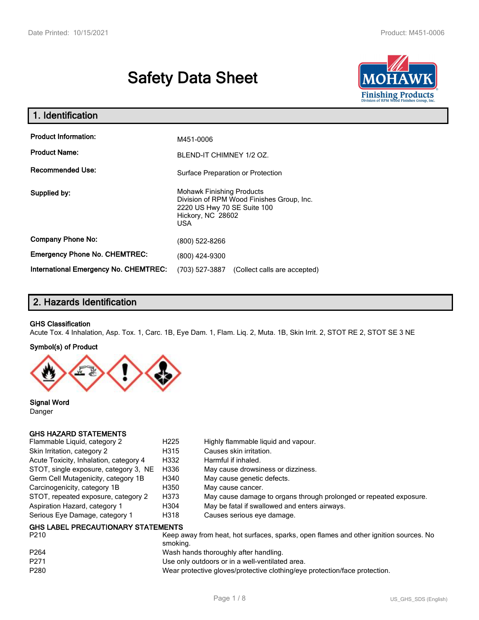# **Safety Data Sheet**



| 1. Identification                            |                                                                                                                                          |  |
|----------------------------------------------|------------------------------------------------------------------------------------------------------------------------------------------|--|
| <b>Product Information:</b>                  | M451-0006                                                                                                                                |  |
| <b>Product Name:</b>                         | BLEND-IT CHIMNEY 1/2 OZ.                                                                                                                 |  |
| <b>Recommended Use:</b>                      | Surface Preparation or Protection                                                                                                        |  |
| Supplied by:                                 | <b>Mohawk Finishing Products</b><br>Division of RPM Wood Finishes Group, Inc.<br>2220 US Hwy 70 SE Suite 100<br>Hickory, NC 28602<br>USA |  |
| <b>Company Phone No:</b>                     | (800) 522-8266                                                                                                                           |  |
| <b>Emergency Phone No. CHEMTREC:</b>         | (800) 424-9300                                                                                                                           |  |
| <b>International Emergency No. CHEMTREC:</b> | (703) 527-3887<br>(Collect calls are accepted)                                                                                           |  |

### **2. Hazards Identification**

#### **GHS Classification**

Acute Tox. 4 Inhalation, Asp. Tox. 1, Carc. 1B, Eye Dam. 1, Flam. Liq. 2, Muta. 1B, Skin Irrit. 2, STOT RE 2, STOT SE 3 NE

#### **Symbol(s) of Product**



**Signal Word** Danger

#### **GHS HAZARD STATEMENTS**

| Flammable Liquid, category 2              | H <sub>225</sub> | Highly flammable liquid and vapour.                                |
|-------------------------------------------|------------------|--------------------------------------------------------------------|
| Skin Irritation, category 2               | H315             | Causes skin irritation.                                            |
| Acute Toxicity, Inhalation, category 4    | H332             | Harmful if inhaled.                                                |
| STOT, single exposure, category 3, NE     | H336             | May cause drowsiness or dizziness.                                 |
| Germ Cell Mutagenicity, category 1B       | H340             | May cause genetic defects.                                         |
| Carcinogenicity, category 1B              | H350             | May cause cancer.                                                  |
| STOT, repeated exposure, category 2       | H373             | May cause damage to organs through prolonged or repeated exposure. |
| Aspiration Hazard, category 1             | H304             | May be fatal if swallowed and enters airways.                      |
| Serious Eye Damage, category 1            | H318             | Causes serious eye damage.                                         |
| <b>GHS LABEL PRECAUTIONARY STATEMENTS</b> |                  |                                                                    |

| P <sub>210</sub> | Keep away from heat, hot surfaces, sparks, open flames and other ignition sources. No<br>smoking. |
|------------------|---------------------------------------------------------------------------------------------------|
| P <sub>264</sub> | Wash hands thoroughly after handling.                                                             |
| P271             | Use only outdoors or in a well-ventilated area.                                                   |
| P <sub>280</sub> | Wear protective gloves/protective clothing/eye protection/face protection.                        |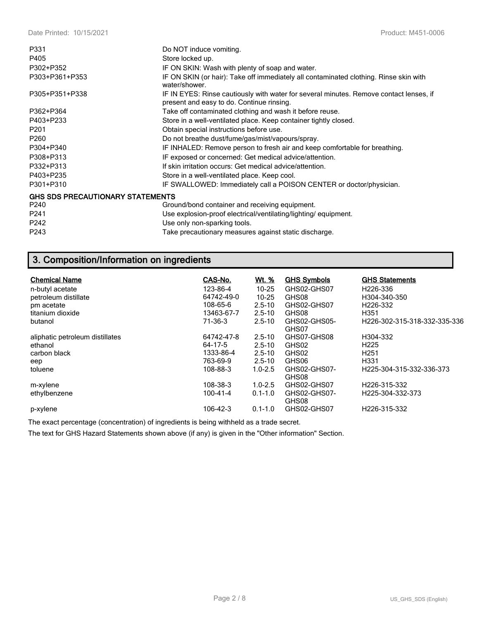| P331                                    | Do NOT induce vomiting.                                                                                                             |
|-----------------------------------------|-------------------------------------------------------------------------------------------------------------------------------------|
| P405                                    | Store locked up.                                                                                                                    |
| P302+P352                               | IF ON SKIN: Wash with plenty of soap and water.                                                                                     |
| P303+P361+P353                          | IF ON SKIN (or hair): Take off immediately all contaminated clothing. Rinse skin with<br>water/shower.                              |
| P305+P351+P338                          | IF IN EYES: Rinse cautiously with water for several minutes. Remove contact lenses, if<br>present and easy to do. Continue rinsing. |
| P362+P364                               | Take off contaminated clothing and wash it before reuse.                                                                            |
| P403+P233                               | Store in a well-ventilated place. Keep container tightly closed.                                                                    |
| P <sub>201</sub>                        | Obtain special instructions before use.                                                                                             |
| P <sub>260</sub>                        | Do not breathe dust/fume/gas/mist/vapours/spray.                                                                                    |
| P304+P340                               | IF INHALED: Remove person to fresh air and keep comfortable for breathing.                                                          |
| P308+P313                               | IF exposed or concerned: Get medical advice/attention.                                                                              |
| P332+P313                               | If skin irritation occurs: Get medical advice/attention.                                                                            |
| P403+P235                               | Store in a well-ventilated place. Keep cool.                                                                                        |
| P301+P310                               | IF SWALLOWED: Immediately call a POISON CENTER or doctor/physician.                                                                 |
| <b>GHS SDS PRECAUTIONARY STATEMENTS</b> |                                                                                                                                     |
| P240                                    | Ground/bond container and receiving equipment.                                                                                      |
| P241                                    | Use explosion-proof electrical/ventilating/lighting/equipment.                                                                      |
| P242                                    | Use only non-sparking tools.                                                                                                        |
| P243                                    | Take precautionary measures against static discharge.                                                                               |

## **3. Composition/Information on ingredients**

| <b>Chemical Name</b>            | CAS-No.    | <u>Wt. %</u> | <b>GHS Symbols</b>    | <b>GHS Statements</b>         |
|---------------------------------|------------|--------------|-----------------------|-------------------------------|
| n-butyl acetate                 | 123-86-4   | $10 - 25$    | GHS02-GHS07           | H <sub>226</sub> -336         |
| petroleum distillate            | 64742-49-0 | $10 - 25$    | GHS08                 | H304-340-350                  |
| pm acetate                      | 108-65-6   | $2.5 - 10$   | GHS02-GHS07           | H <sub>226</sub> -332         |
| titanium dioxide                | 13463-67-7 | $2.5 - 10$   | GHS08                 | H <sub>351</sub>              |
| butanol                         | 71-36-3    | $2.5 - 10$   | GHS02-GHS05-<br>GHS07 | H226-302-315-318-332-335-336  |
| aliphatic petroleum distillates | 64742-47-8 | $2.5 - 10$   | GHS07-GHS08           | H304-332                      |
| ethanol                         | 64-17-5    | $2.5 - 10$   | GHS02                 | H <sub>225</sub>              |
| carbon black                    | 1333-86-4  | $2.5 - 10$   | GHS02                 | H <sub>251</sub>              |
| eep                             | 763-69-9   | $2.5 - 10$   | GHS06                 | H331                          |
| toluene                         | 108-88-3   | $1.0 - 2.5$  | GHS02-GHS07-<br>GHS08 | H225-304-315-332-336-373      |
| m-xylene                        | 108-38-3   | $1.0 - 2.5$  | GHS02-GHS07           | H226-315-332                  |
| ethylbenzene                    | 100-41-4   | $0.1 - 1.0$  | GHS02-GHS07-<br>GHS08 | H <sub>225</sub> -304-332-373 |
| p-xylene                        | 106-42-3   | $0.1 - 1.0$  | GHS02-GHS07           | H226-315-332                  |

The exact percentage (concentration) of ingredients is being withheld as a trade secret.

The text for GHS Hazard Statements shown above (if any) is given in the "Other information" Section.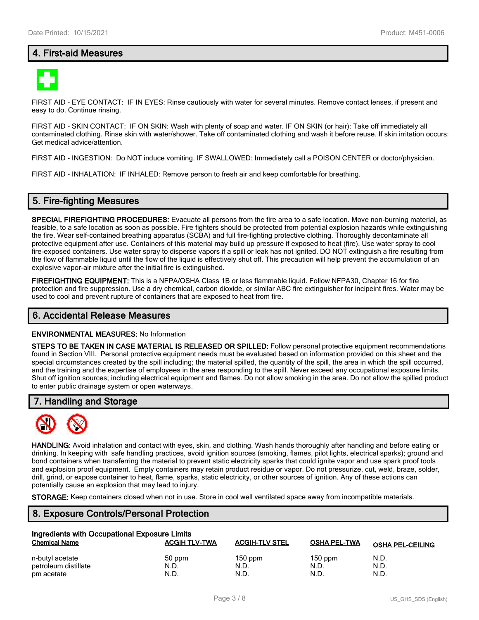### **4. First-aid Measures**



FIRST AID - EYE CONTACT: IF IN EYES: Rinse cautiously with water for several minutes. Remove contact lenses, if present and easy to do. Continue rinsing.

FIRST AID - SKIN CONTACT: IF ON SKIN: Wash with plenty of soap and water. IF ON SKIN (or hair): Take off immediately all contaminated clothing. Rinse skin with water/shower. Take off contaminated clothing and wash it before reuse. If skin irritation occurs: Get medical advice/attention.

FIRST AID - INGESTION: Do NOT induce vomiting. IF SWALLOWED: Immediately call a POISON CENTER or doctor/physician.

FIRST AID - INHALATION: IF INHALED: Remove person to fresh air and keep comfortable for breathing.

#### **5. Fire-fighting Measures**

**SPECIAL FIREFIGHTING PROCEDURES:** Evacuate all persons from the fire area to a safe location. Move non-burning material, as feasible, to a safe location as soon as possible. Fire fighters should be protected from potential explosion hazards while extinguishing the fire. Wear self-contained breathing apparatus (SCBA) and full fire-fighting protective clothing. Thoroughly decontaminate all protective equipment after use. Containers of this material may build up pressure if exposed to heat (fire). Use water spray to cool fire-exposed containers. Use water spray to disperse vapors if a spill or leak has not ignited. DO NOT extinguish a fire resulting from the flow of flammable liquid until the flow of the liquid is effectively shut off. This precaution will help prevent the accumulation of an explosive vapor-air mixture after the initial fire is extinguished.

**FIREFIGHTING EQUIPMENT:** This is a NFPA/OSHA Class 1B or less flammable liquid. Follow NFPA30, Chapter 16 for fire protection and fire suppression. Use a dry chemical, carbon dioxide, or similar ABC fire extinguisher for incipeint fires. Water may be used to cool and prevent rupture of containers that are exposed to heat from fire.

#### **6. Accidental Release Measures**

#### **ENVIRONMENTAL MEASURES:** No Information

**STEPS TO BE TAKEN IN CASE MATERIAL IS RELEASED OR SPILLED:** Follow personal protective equipment recommendations found in Section VIII. Personal protective equipment needs must be evaluated based on information provided on this sheet and the special circumstances created by the spill including; the material spilled, the quantity of the spill, the area in which the spill occurred, and the training and the expertise of employees in the area responding to the spill. Never exceed any occupational exposure limits. Shut off ignition sources; including electrical equipment and flames. Do not allow smoking in the area. Do not allow the spilled product to enter public drainage system or open waterways.

#### **7. Handling and Storage**



**HANDLING:** Avoid inhalation and contact with eyes, skin, and clothing. Wash hands thoroughly after handling and before eating or drinking. In keeping with safe handling practices, avoid ignition sources (smoking, flames, pilot lights, electrical sparks); ground and bond containers when transferring the material to prevent static electricity sparks that could ignite vapor and use spark proof tools and explosion proof equipment. Empty containers may retain product residue or vapor. Do not pressurize, cut, weld, braze, solder, drill, grind, or expose container to heat, flame, sparks, static electricity, or other sources of ignition. Any of these actions can potentially cause an explosion that may lead to injury.

**STORAGE:** Keep containers closed when not in use. Store in cool well ventilated space away from incompatible materials.

### **8. Exposure Controls/Personal Protection**

| Ingredients with Occupational Exposure Limits |                      |                       |                     |                         |  |  |
|-----------------------------------------------|----------------------|-----------------------|---------------------|-------------------------|--|--|
| <b>Chemical Name</b>                          | <b>ACGIH TLV-TWA</b> | <b>ACGIH-TLV STEL</b> | <b>OSHA PEL-TWA</b> | <b>OSHA PEL-CEILING</b> |  |  |
| n-butyl acetate                               | 50 ppm               | $150$ ppm             | $150$ ppm           | N.D.                    |  |  |
| petroleum distillate                          | N.D.                 | N.D.                  | N.D.                | N.D.                    |  |  |
| pm acetate                                    | N.D.                 | N.D.                  | N.D.                | N.D.                    |  |  |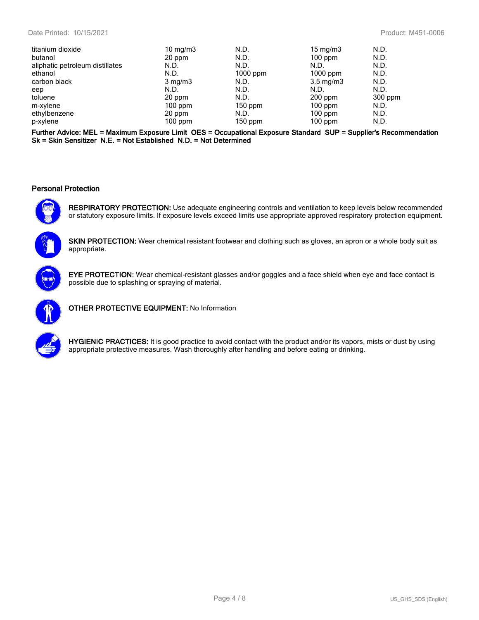| titanium dioxide                | $10 \text{ mg/m}$ | N.D.       | $15 \text{ mg/m}$  | N.D.      |
|---------------------------------|-------------------|------------|--------------------|-----------|
| butanol                         | 20 ppm            | N.D.       | $100$ ppm          | N.D.      |
| aliphatic petroleum distillates | N.D.              | N.D.       | N.D.               | N.D.      |
| ethanol                         | N.D.              | $1000$ ppm | $1000$ ppm         | N.D.      |
| carbon black                    | $3 \text{ mg/m}$  | N.D.       | $3.5 \text{ mg/m}$ | N.D.      |
| eep                             | N.D.              | N.D.       | N.D.               | N.D.      |
| toluene                         | 20 ppm            | N.D.       | $200$ ppm          | $300$ ppm |
| m-xylene                        | $100$ ppm         | $150$ ppm  | $100$ ppm          | N.D.      |
| ethylbenzene                    | 20 ppm            | N.D.       | $100$ ppm          | N.D.      |
| p-xylene                        | $100$ ppm         | $150$ ppm  | $100$ ppm          | N.D.      |
|                                 |                   |            |                    |           |

**Further Advice: MEL = Maximum Exposure Limit OES = Occupational Exposure Standard SUP = Supplier's Recommendation Sk = Skin Sensitizer N.E. = Not Established N.D. = Not Determined**

#### **Personal Protection**



**RESPIRATORY PROTECTION:** Use adequate engineering controls and ventilation to keep levels below recommended or statutory exposure limits. If exposure levels exceed limits use appropriate approved respiratory protection equipment.



**SKIN PROTECTION:** Wear chemical resistant footwear and clothing such as gloves, an apron or a whole body suit as appropriate.



**EYE PROTECTION:** Wear chemical-resistant glasses and/or goggles and a face shield when eye and face contact is possible due to splashing or spraying of material.



**OTHER PROTECTIVE EQUIPMENT:** No Information



**HYGIENIC PRACTICES:** It is good practice to avoid contact with the product and/or its vapors, mists or dust by using appropriate protective measures. Wash thoroughly after handling and before eating or drinking.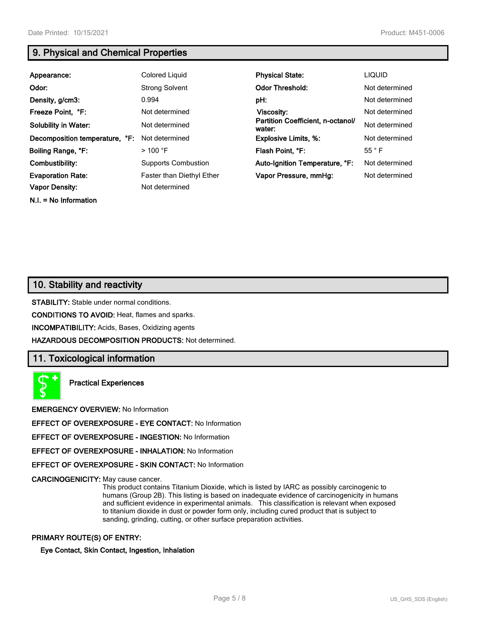### **9. Physical and Chemical Properties**

| Appearance:                    | Colored Liquid                   | <b>Physical State:</b>                      | <b>LIQUID</b>  |
|--------------------------------|----------------------------------|---------------------------------------------|----------------|
| Odor:                          | <b>Strong Solvent</b>            | <b>Odor Threshold:</b>                      | Not determined |
| Density, g/cm3:                | 0.994                            | pH:                                         | Not determined |
| Freeze Point, °F:              | Not determined                   | Viscosity:                                  | Not determined |
| <b>Solubility in Water:</b>    | Not determined                   | Partition Coefficient, n-octanol/<br>water: | Not determined |
| Decomposition temperature, °F: | Not determined                   | <b>Explosive Limits, %:</b>                 | Not determined |
| Boiling Range, °F:             | $>$ 100 °F                       | Flash Point, °F:                            | $55^{\circ}$ F |
| Combustibility:                | <b>Supports Combustion</b>       | Auto-Ignition Temperature, °F:              | Not determined |
| <b>Evaporation Rate:</b>       | <b>Faster than Diethyl Ether</b> | Vapor Pressure, mmHg:                       | Not determined |
| <b>Vapor Density:</b>          | Not determined                   |                                             |                |

**N.I. = No Information**

**10. Stability and reactivity**

**STABILITY:** Stable under normal conditions.

**CONDITIONS TO AVOID:** Heat, flames and sparks.

**INCOMPATIBILITY:** Acids, Bases, Oxidizing agents

**HAZARDOUS DECOMPOSITION PRODUCTS:** Not determined.

### **11. Toxicological information**

**Practical Experiences**

**EMERGENCY OVERVIEW:** No Information

**EFFECT OF OVEREXPOSURE - EYE CONTACT:** No Information

**EFFECT OF OVEREXPOSURE - INGESTION:** No Information

**EFFECT OF OVEREXPOSURE - INHALATION:** No Information

**EFFECT OF OVEREXPOSURE - SKIN CONTACT:** No Information

**CARCINOGENICITY:** May cause cancer.

This product contains Titanium Dioxide, which is listed by IARC as possibly carcinogenic to humans (Group 2B). This listing is based on inadequate evidence of carcinogenicity in humans and sufficient evidence in experimental animals. This classification is relevant when exposed to titanium dioxide in dust or powder form only, including cured product that is subject to sanding, grinding, cutting, or other surface preparation activities.

#### **PRIMARY ROUTE(S) OF ENTRY:**

**Eye Contact, Skin Contact, Ingestion, Inhalation**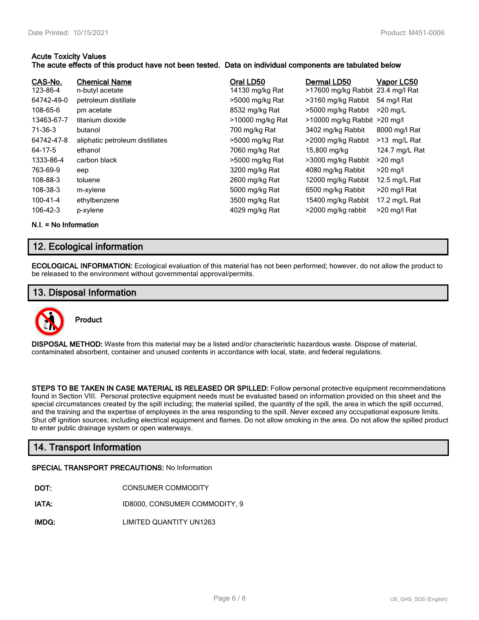#### **Acute Toxicity Values**

#### **The acute effects of this product have not been tested. Data on individual components are tabulated below**

| CAS-No.    | <b>Chemical Name</b>            | Oral LD50        | Dermal LD50                       | Vapor LC50     |
|------------|---------------------------------|------------------|-----------------------------------|----------------|
| 123-86-4   | n-butyl acetate                 | 14130 mg/kg Rat  | >17600 mg/kg Rabbit 23.4 mg/l Rat |                |
| 64742-49-0 | petroleum distillate            | >5000 mg/kg Rat  | >3160 mg/kg Rabbit                | 54 mg/l Rat    |
| 108-65-6   | pm acetate                      | 8532 mg/kg Rat   | >5000 mg/kg Rabbit                | $>20$ mg/L     |
| 13463-67-7 | titanium dioxide                | >10000 mg/kg Rat | $>10000$ mg/kg Rabbit $>20$ mg/l  |                |
| 71-36-3    | butanol                         | 700 mg/kg Rat    | 3402 mg/kg Rabbit                 | 8000 mg/l Rat  |
| 64742-47-8 | aliphatic petroleum distillates | >5000 mg/kg Rat  | >2000 mg/kg Rabbit                | >13 mg/L Rat   |
| 64-17-5    | ethanol                         | 7060 mg/kg Rat   | 15,800 mg/kg                      | 124.7 mg/L Rat |
| 1333-86-4  | carbon black                    | >5000 mg/kg Rat  | >3000 mg/kg Rabbit                | $>20$ mg/l     |
| 763-69-9   | eep                             | 3200 mg/kg Rat   | 4080 mg/kg Rabbit                 | $>20$ mg/l     |
| 108-88-3   | toluene                         | 2600 mg/kg Rat   | 12000 mg/kg Rabbit                | 12.5 mg/L Rat  |
| 108-38-3   | m-xylene                        | 5000 mg/kg Rat   | 6500 mg/kg Rabbit                 | >20 mg/l Rat   |
| 100-41-4   | ethylbenzene                    | 3500 mg/kg Rat   | 15400 mg/kg Rabbit                | 17.2 mg/L Rat  |
| 106-42-3   | p-xylene                        | 4029 mg/kg Rat   | >2000 mg/kg rabbit                | >20 mg/l Rat   |

**N.I. = No Information**

### **12. Ecological information**

**ECOLOGICAL INFORMATION:** Ecological evaluation of this material has not been performed; however, do not allow the product to be released to the environment without governmental approval/permits.

### **13. Disposal Information**



**Product**

**DISPOSAL METHOD:** Waste from this material may be a listed and/or characteristic hazardous waste. Dispose of material, contaminated absorbent, container and unused contents in accordance with local, state, and federal regulations.

**STEPS TO BE TAKEN IN CASE MATERIAL IS RELEASED OR SPILLED:** Follow personal protective equipment recommendations found in Section VIII. Personal protective equipment needs must be evaluated based on information provided on this sheet and the special circumstances created by the spill including; the material spilled, the quantity of the spill, the area in which the spill occurred, and the training and the expertise of employees in the area responding to the spill. Never exceed any occupational exposure limits. Shut off ignition sources; including electrical equipment and flames. Do not allow smoking in the area. Do not allow the spilled product to enter public drainage system or open waterways.

### **14. Transport Information**

#### **SPECIAL TRANSPORT PRECAUTIONS:** No Information

- **IATA:** ID8000, CONSUMER COMMODITY, 9
- **IMDG:** LIMITED QUANTITY UN1263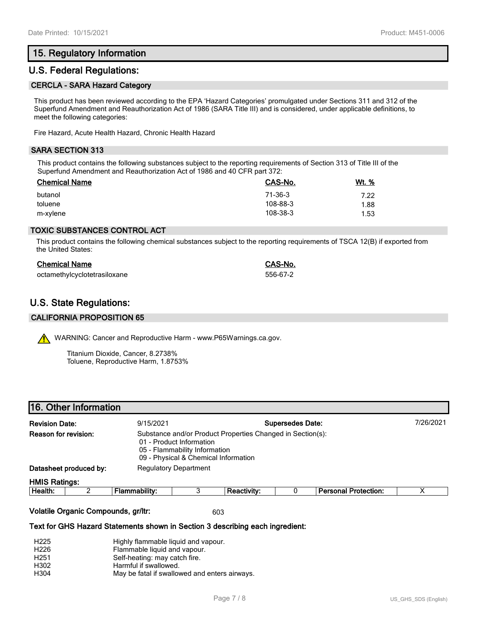### **15. Regulatory Information**

#### **U.S. Federal Regulations:**

#### **CERCLA - SARA Hazard Category**

This product has been reviewed according to the EPA 'Hazard Categories' promulgated under Sections 311 and 312 of the Superfund Amendment and Reauthorization Act of 1986 (SARA Title III) and is considered, under applicable definitions, to meet the following categories:

Fire Hazard, Acute Health Hazard, Chronic Health Hazard

#### **SARA SECTION 313**

This product contains the following substances subject to the reporting requirements of Section 313 of Title III of the Superfund Amendment and Reauthorization Act of 1986 and 40 CFR part 372:

| <b>Chemical Name</b> | CAS-No.  | <u>Wt. %</u> |
|----------------------|----------|--------------|
| butanol              | 71-36-3  | 7.22         |
| toluene              | 108-88-3 | 1.88         |
| m-xylene             | 108-38-3 | 1.53         |

#### **TOXIC SUBSTANCES CONTROL ACT**

This product contains the following chemical substances subject to the reporting requirements of TSCA 12(B) if exported from the United States:

| <b>Chemical Name</b>         | CAS-No.  |
|------------------------------|----------|
| octamethylcyclotetrasiloxane | 556-67-2 |

### **U.S. State Regulations:**

#### **CALIFORNIA PROPOSITION 65**

WARNING: Cancer and Reproductive Harm - www.P65Warnings.ca.gov.

Titanium Dioxide, Cancer, 8.2738% Toluene, Reproductive Harm, 1.8753%

|  | 16. Other Information |
|--|-----------------------|
|  |                       |

| <b>Revision Date:</b> |                        | <b>Supersedes Date:</b><br>9/15/2021 |                                                                                                                                                                 |                    |  |                             | 7/26/2021 |  |
|-----------------------|------------------------|--------------------------------------|-----------------------------------------------------------------------------------------------------------------------------------------------------------------|--------------------|--|-----------------------------|-----------|--|
| Reason for revision:  |                        |                                      | Substance and/or Product Properties Changed in Section(s):<br>01 - Product Information<br>05 - Flammability Information<br>09 - Physical & Chemical Information |                    |  |                             |           |  |
|                       | Datasheet produced by: |                                      | <b>Regulatory Department</b>                                                                                                                                    |                    |  |                             |           |  |
| <b>HMIS Ratings:</b>  |                        |                                      |                                                                                                                                                                 |                    |  |                             |           |  |
| Health:               |                        | Flammability:                        |                                                                                                                                                                 | <b>Reactivity:</b> |  | <b>Personal Protection:</b> |           |  |
|                       |                        |                                      |                                                                                                                                                                 |                    |  |                             |           |  |

#### **Volatile Organic Compounds, gr/ltr:** 603

#### **Text for GHS Hazard Statements shown in Section 3 describing each ingredient:**

| H <sub>225</sub> | Highly flammable liquid and vapour.           |
|------------------|-----------------------------------------------|
| H <sub>226</sub> | Flammable liquid and vapour.                  |
| H <sub>251</sub> | Self-heating: may catch fire.                 |
| H302             | Harmful if swallowed.                         |
| H304             | May be fatal if swallowed and enters airways. |